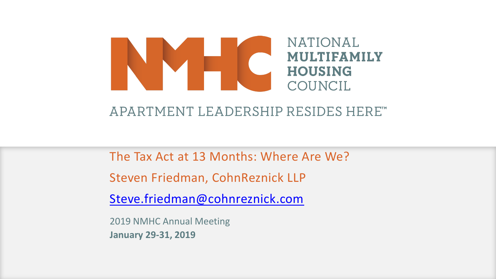#### **NATIONAL MULTIFAMILY HOUSING** COUNCIL

#### APARTMENT LEADERSHIP RESIDES HERE"

The Tax Act at 13 Months: Where Are We?

Steven Friedman, CohnReznick LLP

[Steve.friedman@cohnreznick.com](mailto:Steve.friedman@cohnreznick.com)

2019 NMHC Annual Meeting **January 29-31, 2019**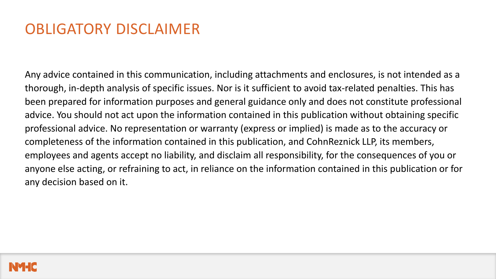#### OBLIGATORY DISCLAIMER

Any advice contained in this communication, including attachments and enclosures, is not intended as a thorough, in-depth analysis of specific issues. Nor is it sufficient to avoid tax-related penalties. This has been prepared for information purposes and general guidance only and does not constitute professional advice. You should not act upon the information contained in this publication without obtaining specific professional advice. No representation or warranty (express or implied) is made as to the accuracy or completeness of the information contained in this publication, and CohnReznick LLP, its members, employees and agents accept no liability, and disclaim all responsibility, for the consequences of you or anyone else acting, or refraining to act, in reliance on the information contained in this publication or for any decision based on it.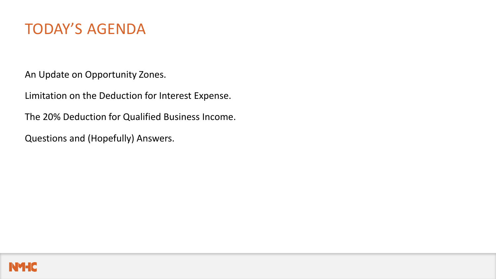#### TODAY'S AGENDA

An Update on Opportunity Zones.

Limitation on the Deduction for Interest Expense.

The 20% Deduction for Qualified Business Income.

Questions and (Hopefully) Answers.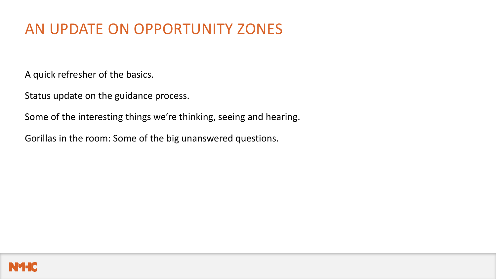#### AN UPDATE ON OPPORTUNITY ZONES

A quick refresher of the basics.

Status update on the guidance process.

Some of the interesting things we're thinking, seeing and hearing.

Gorillas in the room: Some of the big unanswered questions.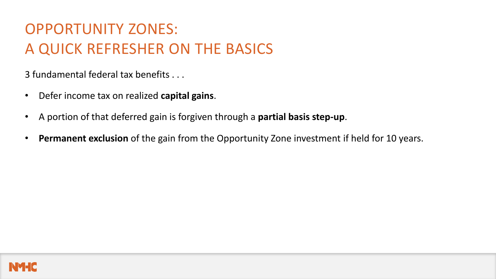3 fundamental federal tax benefits . . .

- Defer income tax on realized **capital gains**.
- A portion of that deferred gain is forgiven through a **partial basis step-up**.
- **Permanent exclusion** of the gain from the Opportunity Zone investment if held for 10 years.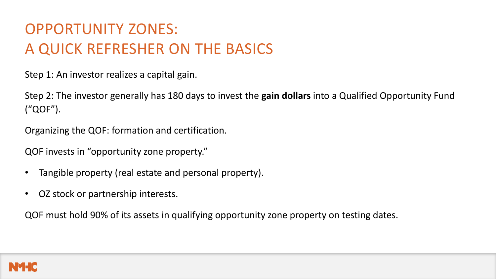Step 1: An investor realizes a capital gain.

Step 2: The investor generally has 180 days to invest the **gain dollars** into a Qualified Opportunity Fund ("QOF").

Organizing the QOF: formation and certification.

QOF invests in "opportunity zone property."

- Tangible property (real estate and personal property).
- OZ stock or partnership interests.

QOF must hold 90% of its assets in qualifying opportunity zone property on testing dates.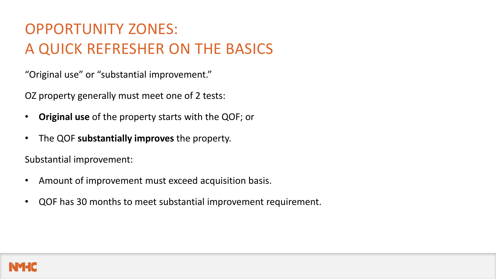"Original use" or "substantial improvement."

OZ property generally must meet one of 2 tests:

- **Original use** of the property starts with the QOF; or
- The QOF **substantially improves** the property.

Substantial improvement:

- Amount of improvement must exceed acquisition basis.
- QOF has 30 months to meet substantial improvement requirement.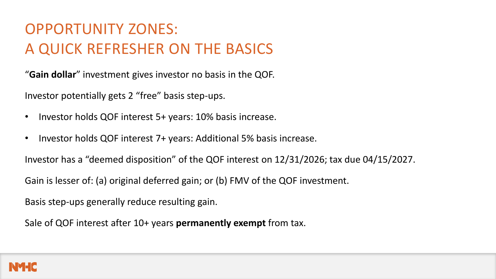"**Gain dollar**" investment gives investor no basis in the QOF.

Investor potentially gets 2 "free" basis step-ups.

- Investor holds QOF interest 5+ years: 10% basis increase.
- Investor holds QOF interest 7+ years: Additional 5% basis increase.

Investor has a "deemed disposition" of the QOF interest on 12/31/2026; tax due 04/15/2027.

Gain is lesser of: (a) original deferred gain; or (b) FMV of the QOF investment.

Basis step-ups generally reduce resulting gain.

Sale of QOF interest after 10+ years **permanently exempt** from tax.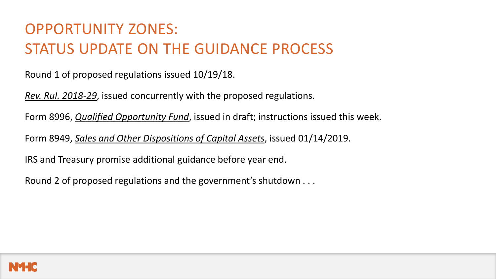## OPPORTUNITY ZONES: STATUS UPDATE ON THE GUIDANCE PROCESS

Round 1 of proposed regulations issued 10/19/18.

*Rev. Rul. 2018-29*, issued concurrently with the proposed regulations.

Form 8996, *Qualified Opportunity Fund*, issued in draft; instructions issued this week.

Form 8949, *Sales and Other Dispositions of Capital Assets*, issued 01/14/2019.

IRS and Treasury promise additional guidance before year end.

Round 2 of proposed regulations and the government's shutdown . . .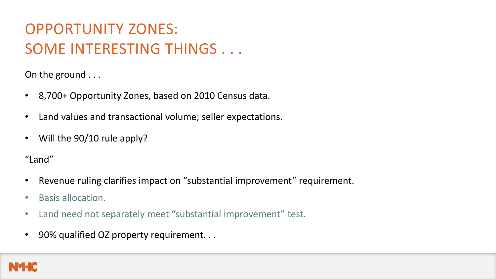On the ground . . .

- 8,700+ Opportunity Zones, based on 2010 Census data.
- Land values and transactional volume; seller expectations.
- Will the 90/10 rule apply?

"Land"

- Revenue ruling clarifies impact on "substantial improvement" requirement.
- Basis allocation.
- Land need not separately meet "substantial improvement" test.
- 90% qualified OZ property requirement. . .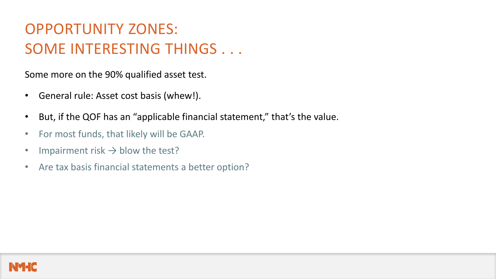Some more on the 90% qualified asset test.

- General rule: Asset cost basis (whew!).
- But, if the QOF has an "applicable financial statement," that's the value.
- For most funds, that likely will be GAAP.
- Impairment risk  $\rightarrow$  blow the test?
- Are tax basis financial statements a better option?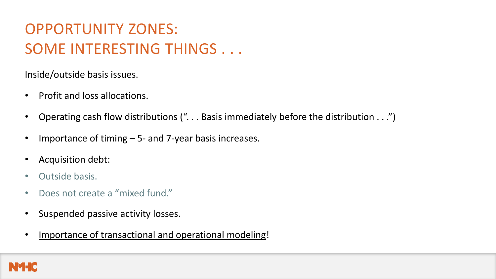Inside/outside basis issues.

- Profit and loss allocations.
- Operating cash flow distributions (". . . Basis immediately before the distribution . . .")
- Importance of timing  $-5$  and 7-year basis increases.
- Acquisition debt:
- Outside basis.
- Does not create a "mixed fund."
- Suspended passive activity losses.
- Importance of transactional and operational modeling!

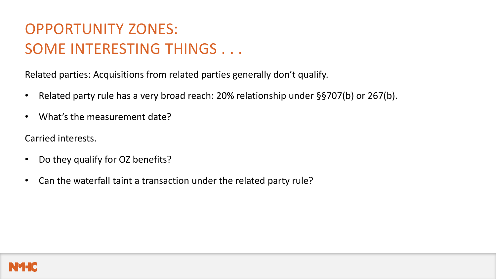Related parties: Acquisitions from related parties generally don't qualify.

- Related party rule has a very broad reach: 20% relationship under §§707(b) or 267(b).
- What's the measurement date?

Carried interests.

- Do they qualify for OZ benefits?
- Can the waterfall taint a transaction under the related party rule?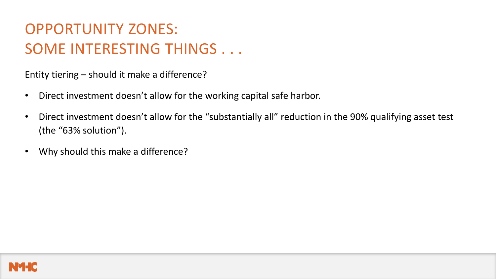Entity tiering – should it make a difference?

- Direct investment doesn't allow for the working capital safe harbor.
- Direct investment doesn't allow for the "substantially all" reduction in the 90% qualifying asset test (the "63% solution").
- Why should this make a difference?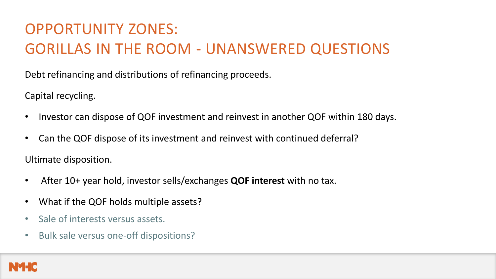# OPPORTUNITY ZONES: GORILLAS IN THE ROOM - UNANSWERED QUESTIONS

Debt refinancing and distributions of refinancing proceeds.

Capital recycling.

- Investor can dispose of QOF investment and reinvest in another QOF within 180 days.
- Can the QOF dispose of its investment and reinvest with continued deferral?

Ultimate disposition.

- After 10+ year hold, investor sells/exchanges **QOF interest** with no tax.
- What if the QOF holds multiple assets?
- Sale of interests versus assets.
- Bulk sale versus one-off dispositions?

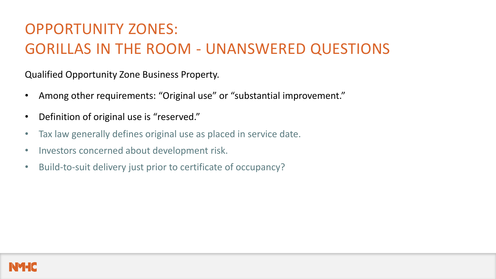# OPPORTUNITY ZONES: GORILLAS IN THE ROOM - UNANSWERED QUESTIONS

Qualified Opportunity Zone Business Property.

- Among other requirements: "Original use" or "substantial improvement."
- Definition of original use is "reserved."
- Tax law generally defines original use as placed in service date.
- Investors concerned about development risk.
- Build-to-suit delivery just prior to certificate of occupancy?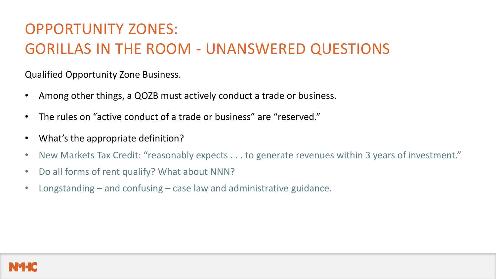# OPPORTUNITY ZONES: GORILLAS IN THE ROOM - UNANSWERED QUESTIONS

Qualified Opportunity Zone Business.

- Among other things, a QOZB must actively conduct a trade or business.
- The rules on "active conduct of a trade or business" are "reserved."
- What's the appropriate definition?
- New Markets Tax Credit: "reasonably expects . . . to generate revenues within 3 years of investment."
- Do all forms of rent qualify? What about NNN?
- Longstanding and confusing case law and administrative guidance.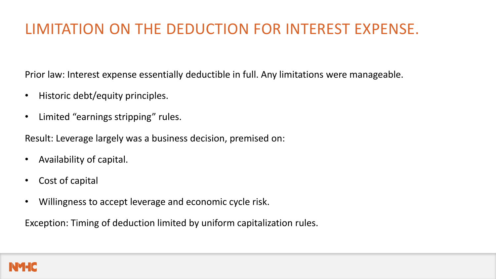Prior law: Interest expense essentially deductible in full. Any limitations were manageable.

- Historic debt/equity principles.
- Limited "earnings stripping" rules.

Result: Leverage largely was a business decision, premised on:

- Availability of capital.
- Cost of capital
- Willingness to accept leverage and economic cycle risk.

Exception: Timing of deduction limited by uniform capitalization rules.

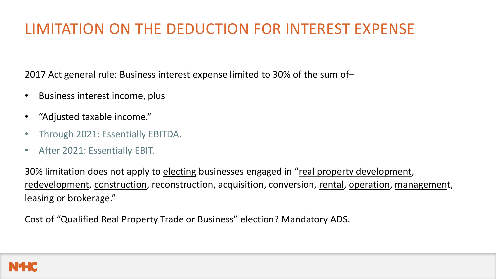2017 Act general rule: Business interest expense limited to 30% of the sum of–

- Business interest income, plus
- "Adjusted taxable income."
- Through 2021: Essentially EBITDA.
- After 2021: Essentially EBIT.

30% limitation does not apply to electing businesses engaged in "real property development, redevelopment, construction, reconstruction, acquisition, conversion, rental, operation, management, leasing or brokerage."

Cost of "Qualified Real Property Trade or Business" election? Mandatory ADS.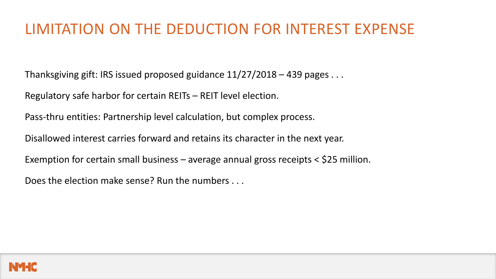Thanksgiving gift: IRS issued proposed guidance 11/27/2018 – 439 pages . . .

Regulatory safe harbor for certain REITs – REIT level election.

Pass-thru entities: Partnership level calculation, but complex process.

Disallowed interest carries forward and retains its character in the next year.

Exemption for certain small business – average annual gross receipts < \$25 million.

Does the election make sense? Run the numbers . . .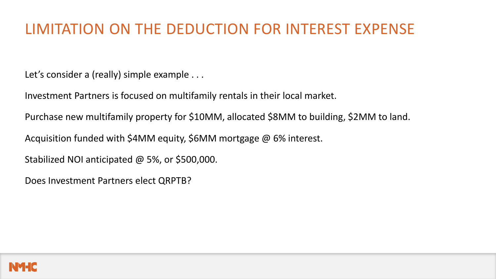Let's consider a (really) simple example . . .

Investment Partners is focused on multifamily rentals in their local market.

Purchase new multifamily property for \$10MM, allocated \$8MM to building, \$2MM to land.

Acquisition funded with \$4MM equity, \$6MM mortgage @ 6% interest.

Stabilized NOI anticipated @ 5%, or \$500,000.

Does Investment Partners elect QRPTB?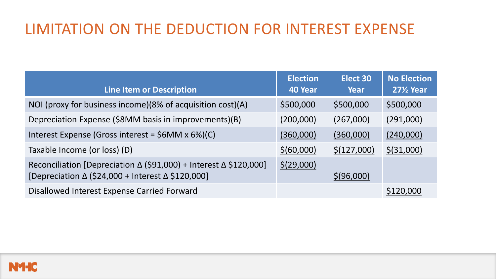| <b>Line Item or Description</b>                                                                                        | <b>Election</b><br>40 Year | Elect 30<br>Year | <b>No Election</b><br><b>271/2 Year</b> |
|------------------------------------------------------------------------------------------------------------------------|----------------------------|------------------|-----------------------------------------|
| NOI (proxy for business income)(8% of acquisition cost)(A)                                                             | \$500,000                  | \$500,000        | \$500,000                               |
| Depreciation Expense (\$8MM basis in improvements)(B)                                                                  | (200,000)                  | (267,000)        | (291,000)                               |
| Interest Expense (Gross interest = \$6MM x 6%)(C)                                                                      | (360,000)                  | (360,000)        | (240,000)                               |
| Taxable Income (or loss) (D)                                                                                           | \$ (60,000)                | \$(127,000)      | \$ (31,000)                             |
| Reconciliation [Depreciation ∆ (\$91,000) + Interest ∆ \$120,000]<br>[Depreciation ∆ (\$24,000 + Interest ∆ \$120,000] | \$(29,000)                 | \$ (96,000)      |                                         |
| Disallowed Interest Expense Carried Forward                                                                            |                            |                  | \$120,000                               |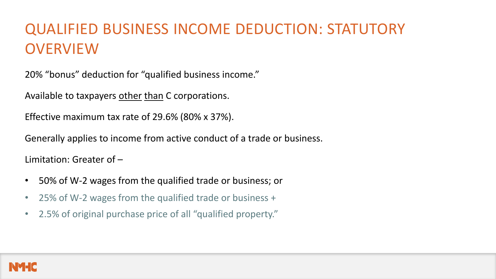## QUALIFIED BUSINESS INCOME DEDUCTION: STATUTORY **OVERVIEW**

20% "bonus" deduction for "qualified business income."

Available to taxpayers other than C corporations.

Effective maximum tax rate of 29.6% (80% x 37%).

Generally applies to income from active conduct of a trade or business.

Limitation: Greater of –

- 50% of W-2 wages from the qualified trade or business; or
- 25% of W-2 wages from the qualified trade or business +
- 2.5% of original purchase price of all "qualified property."

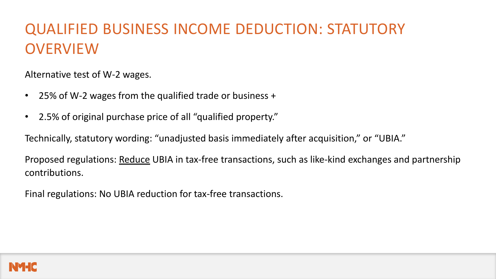## QUALIFIED BUSINESS INCOME DEDUCTION: STATUTORY **OVERVIEW**

Alternative test of W-2 wages.

- 25% of W-2 wages from the qualified trade or business +
- 2.5% of original purchase price of all "qualified property."

Technically, statutory wording: "unadjusted basis immediately after acquisition," or "UBIA."

Proposed regulations: Reduce UBIA in tax-free transactions, such as like-kind exchanges and partnership contributions.

Final regulations: No UBIA reduction for tax-free transactions.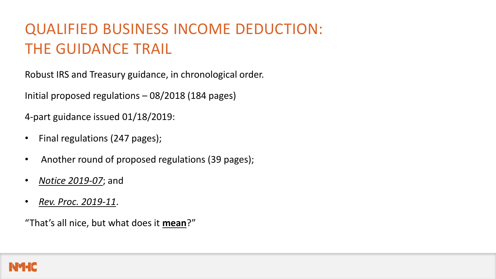# QUALIFIED BUSINESS INCOME DEDUCTION: THE GUIDANCE TRAIL

Robust IRS and Treasury guidance, in chronological order.

Initial proposed regulations – 08/2018 (184 pages)

4-part guidance issued 01/18/2019:

- Final regulations (247 pages);
- Another round of proposed regulations (39 pages);
- *Notice 2019-07*; and
- *Rev. Proc. 2019-11*.

"That's all nice, but what does it **mean**?"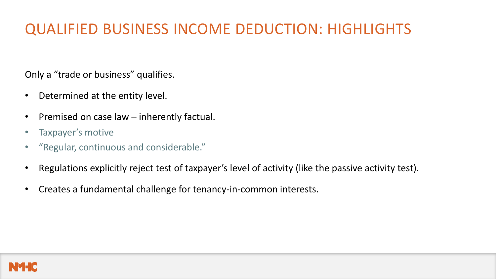Only a "trade or business" qualifies.

- Determined at the entity level.
- Premised on case law  $-$  inherently factual.
- Taxpayer's motive
- "Regular, continuous and considerable."
- Regulations explicitly reject test of taxpayer's level of activity (like the passive activity test).
- Creates a fundamental challenge for tenancy-in-common interests.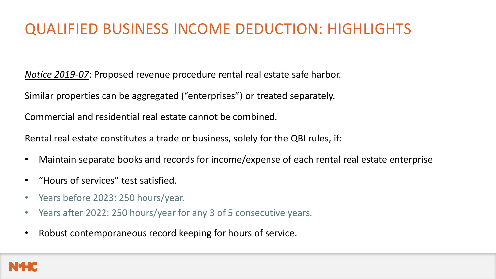*Notice 2019-07*: Proposed revenue procedure rental real estate safe harbor.

Similar properties can be aggregated ("enterprises") or treated separately.

Commercial and residential real estate cannot be combined.

Rental real estate constitutes a trade or business, solely for the QBI rules, if:

- Maintain separate books and records for income/expense of each rental real estate enterprise.
- "Hours of services" test satisfied.
- Years before 2023: 250 hours/year.
- Years after 2022: 250 hours/year for any 3 of 5 consecutive years.
- Robust contemporaneous record keeping for hours of service.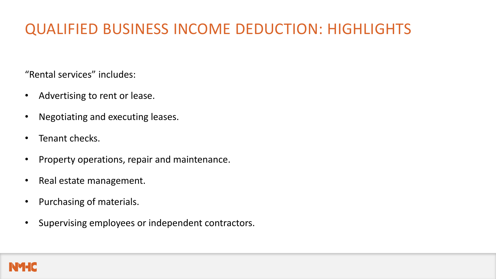"Rental services" includes:

- Advertising to rent or lease.
- Negotiating and executing leases.
- Tenant checks.
- Property operations, repair and maintenance.
- Real estate management.
- Purchasing of materials.
- Supervising employees or independent contractors.

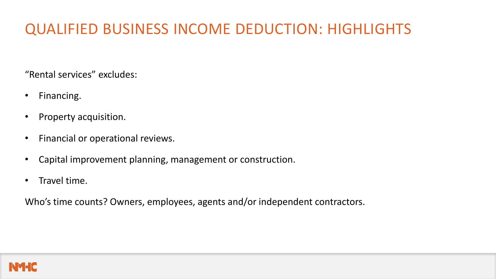"Rental services" excludes:

- Financing.
- Property acquisition.
- Financial or operational reviews.
- Capital improvement planning, management or construction.
- Travel time.

Who's time counts? Owners, employees, agents and/or independent contractors.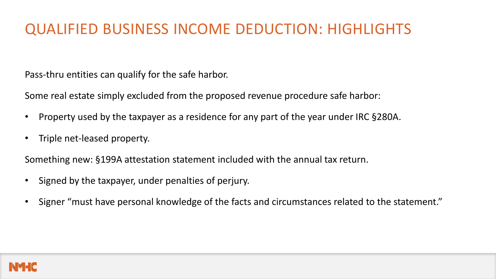Pass-thru entities can qualify for the safe harbor.

Some real estate simply excluded from the proposed revenue procedure safe harbor:

- Property used by the taxpayer as a residence for any part of the year under IRC §280A.
- Triple net-leased property.

Something new: §199A attestation statement included with the annual tax return.

- Signed by the taxpayer, under penalties of perjury.
- Signer "must have personal knowledge of the facts and circumstances related to the statement."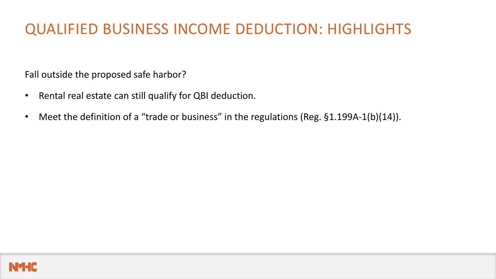Fall outside the proposed safe harbor?

- Rental real estate can still qualify for QBI deduction.
- Meet the definition of a "trade or business" in the regulations (Reg. §1.199A-1(b)(14)).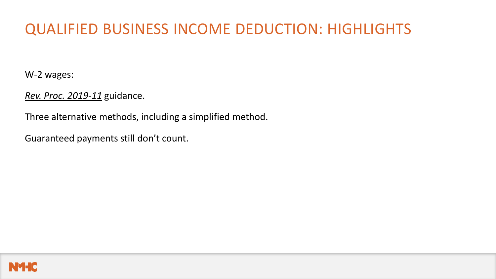W-2 wages:

*Rev. Proc. 2019-11* guidance.

Three alternative methods, including a simplified method.

Guaranteed payments still don't count.